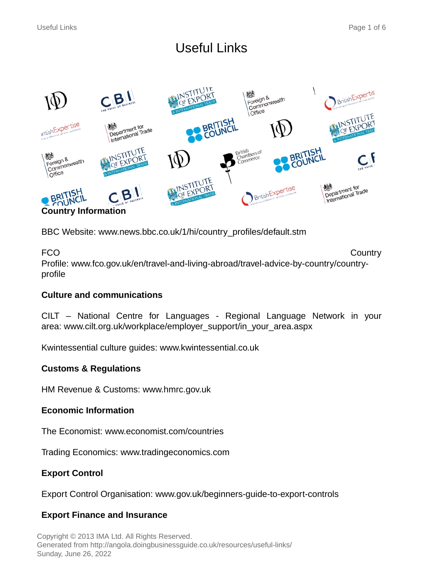# Useful Links



BBC Website: www.news.bbc.co.uk/1/hi/country\_profiles/default.stm

FCO **Country** Profile: www.fco.gov.uk/en/travel-and-living-abroad/travel-advice-by-country/countryprofile

# **Culture and communications**

CILT – National Centre for Languages - Regional Language Network in your area: www.cilt.org.uk/workplace/employer\_support/in\_your\_area.aspx

Kwintessential culture guides: www.kwintessential.co.uk

# **Customs & Regulations**

HM Revenue & Customs: www.hmrc.gov.uk

# **Economic Information**

The Economist: www.economist.com/countries

Trading Economics: www.tradingeconomics.com

# **Export Control**

Export Control Organisation: www.gov.uk/beginners-guide-to-export-controls

# **Export Finance and Insurance**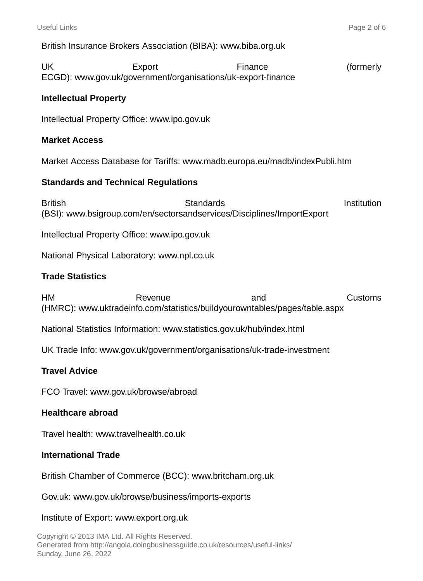British Insurance Brokers Association (BIBA): www.biba.org.uk

UK Export Export Finance (formerly ECGD): www.gov.uk/government/organisations/uk-export-finance

## **Intellectual Property**

Intellectual Property Office: www.ipo.gov.uk

#### **Market Access**

Market Access Database for Tariffs: www.madb.europa.eu/madb/indexPubli.htm

#### **Standards and Technical Regulations**

British Standards Standards Institution (BSI): www.bsigroup.com/en/sectorsandservices/Disciplines/ImportExport

Intellectual Property Office: www.ipo.gov.uk

National Physical Laboratory: www.npl.co.uk

#### **Trade Statistics**

HM Revenue and Customs (HMRC): www.uktradeinfo.com/statistics/buildyourowntables/pages/table.aspx

National Statistics Information: www.statistics.gov.uk/hub/index.html

UK Trade Info: www.gov.uk/government/organisations/uk-trade-investment

## **Travel Advice**

FCO Travel: www.gov.uk/browse/abroad

#### **Healthcare abroad**

Travel health: www.travelhealth.co.uk

#### **International Trade**

British Chamber of Commerce (BCC): www.britcham.org.uk

Gov.uk: www.gov.uk/browse/business/imports-exports

#### Institute of Export: www.export.org.uk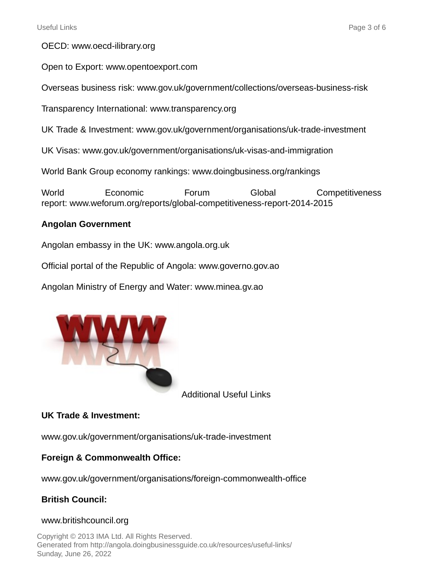OECD: www.oecd-ilibrary.org

Open to Export: www.opentoexport.com

Overseas business risk: www.gov.uk/government/collections/overseas-business-risk

Transparency International: www.transparency.org

UK Trade & Investment: www.gov.uk/government/organisations/uk-trade-investment

UK Visas: www.gov.uk/government/organisations/uk-visas-and-immigration

World Bank Group economy rankings: www.doingbusiness.org/rankings

World Economic Forum Global Competitiveness report: www.weforum.org/reports/global-competitiveness-report-2014-2015

## **Angolan Government**

Angolan embassy in the UK: www.angola.org.uk

Official portal of the Republic of Angola: www.governo.gov.ao

Angolan Ministry of Energy and Water: www.minea.gv.ao



Additional Useful Links

## **UK Trade & Investment:**

www.gov.uk/government/organisations/uk-trade-investment

## **Foreign & Commonwealth Office:**

www.gov.uk/government/organisations/foreign-commonwealth-office

# **British Council:**

## www.britishcouncil.org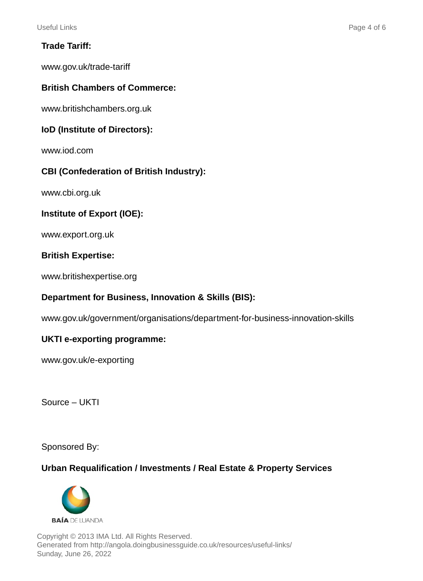# **Trade Tariff:**

www.gov.uk/trade-tariff

# **British Chambers of Commerce:**

www.britishchambers.org.uk

## **IoD (Institute of Directors):**

www.iod.com

## **CBI (Confederation of British Industry):**

www.cbi.org.uk

## **Institute of Export (IOE):**

www.export.org.uk

## **British Expertise:**

www.britishexpertise.org

## **Department for Business, Innovation & Skills (BIS):**

www.gov.uk/government/organisations/department-for-business-innovation-skills

## **UKTI e-exporting programme:**

www.gov.uk/e-exporting

Source – UKTI

Sponsored By:

# **Urban Requalification / Investments / Real Estate & Property Services**

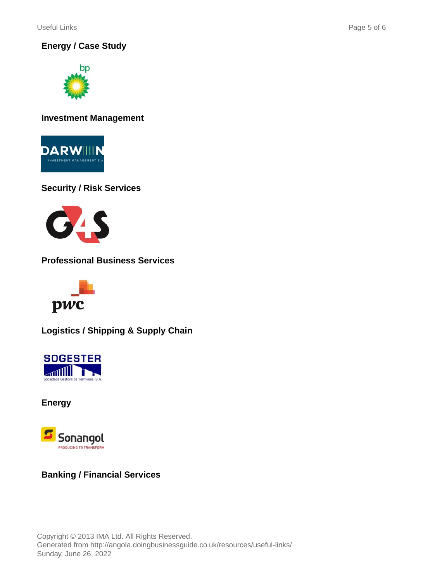Useful Links Page 5 of 6

**Energy / Case Study**



**Investment Management**



# **Security / Risk Services**



**Professional Business Services**



**Logistics / Shipping & Supply Chain**



**Energy**



# **Banking / Financial Services**